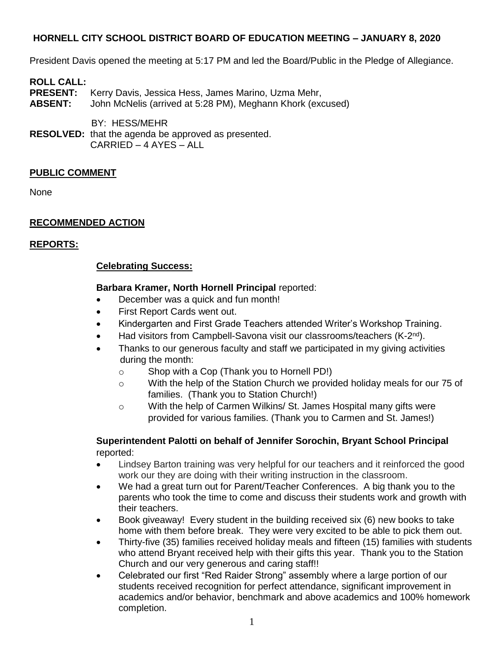President Davis opened the meeting at 5:17 PM and led the Board/Public in the Pledge of Allegiance.

**ROLL CALL: PRESENT:** Kerry Davis, Jessica Hess, James Marino, Uzma Mehr, **ABSENT:** John McNelis (arrived at 5:28 PM), Meghann Khork (excused)

BY: HESS/MEHR

**RESOLVED:** that the agenda be approved as presented. CARRIED – 4 AYES – ALL

### **PUBLIC COMMENT**

None

## **RECOMMENDED ACTION**

### **REPORTS:**

### **Celebrating Success:**

### **Barbara Kramer, North Hornell Principal** reported:

- December was a quick and fun month!
- First Report Cards went out.
- Kindergarten and First Grade Teachers attended Writer's Workshop Training.
- Had visitors from Campbell-Savona visit our classrooms/teachers (K-2<sup>nd</sup>).
- Thanks to our generous faculty and staff we participated in my giving activities during the month:
	- o Shop with a Cop (Thank you to Hornell PD!)
	- $\circ$  With the help of the Station Church we provided holiday meals for our 75 of families. (Thank you to Station Church!)
	- o With the help of Carmen Wilkins/ St. James Hospital many gifts were provided for various families. (Thank you to Carmen and St. James!)

### **Superintendent Palotti on behalf of Jennifer Sorochin, Bryant School Principal** reported:

- Lindsey Barton training was very helpful for our teachers and it reinforced the good work our they are doing with their writing instruction in the classroom.
- We had a great turn out for Parent/Teacher Conferences. A big thank you to the parents who took the time to come and discuss their students work and growth with their teachers.
- Book giveaway! Every student in the building received six (6) new books to take home with them before break. They were very excited to be able to pick them out.
- Thirty-five (35) families received holiday meals and fifteen (15) families with students who attend Bryant received help with their gifts this year. Thank you to the Station Church and our very generous and caring staff!!
- Celebrated our first "Red Raider Strong" assembly where a large portion of our students received recognition for perfect attendance, significant improvement in academics and/or behavior, benchmark and above academics and 100% homework completion.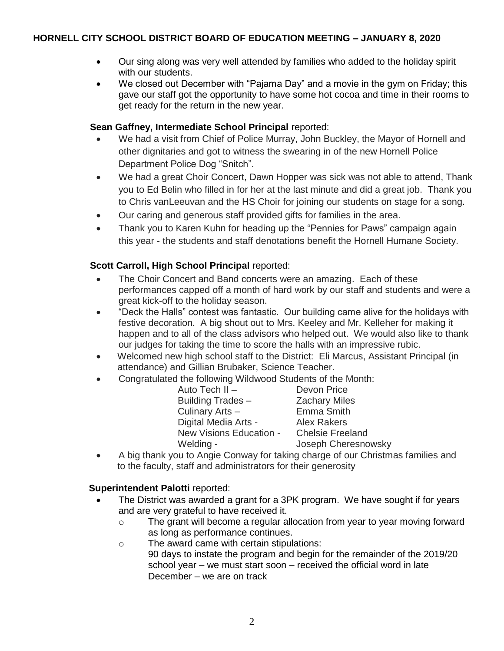- Our sing along was very well attended by families who added to the holiday spirit with our students.
- We closed out December with "Pajama Day" and a movie in the gym on Friday; this gave our staff got the opportunity to have some hot cocoa and time in their rooms to get ready for the return in the new year.

## **Sean Gaffney, Intermediate School Principal** reported:

- We had a visit from Chief of Police Murray, John Buckley, the Mayor of Hornell and other dignitaries and got to witness the swearing in of the new Hornell Police Department Police Dog "Snitch".
- We had a great Choir Concert, Dawn Hopper was sick was not able to attend, Thank you to Ed Belin who filled in for her at the last minute and did a great job. Thank you to Chris vanLeeuvan and the HS Choir for joining our students on stage for a song.
- Our caring and generous staff provided gifts for families in the area.
- Thank you to Karen Kuhn for heading up the "Pennies for Paws" campaign again this year - the students and staff denotations benefit the Hornell Humane Society.

# **Scott Carroll, High School Principal** reported:

- The Choir Concert and Band concerts were an amazing. Each of these performances capped off a month of hard work by our staff and students and were a great kick-off to the holiday season.
- "Deck the Halls" contest was fantastic. Our building came alive for the holidays with festive decoration. A big shout out to Mrs. Keeley and Mr. Kelleher for making it happen and to all of the class advisors who helped out. We would also like to thank our judges for taking the time to score the halls with an impressive rubic.
- Welcomed new high school staff to the District: Eli Marcus, Assistant Principal (in attendance) and Gillian Brubaker, Science Teacher.
- Congratulated the following Wildwood Students of the Month:

| Joseph Cheresnowsky |
|---------------------|

 A big thank you to Angie Conway for taking charge of our Christmas families and to the faculty, staff and administrators for their generosity

## **Superintendent Palotti** reported:

- The District was awarded a grant for a 3PK program. We have sought if for years and are very grateful to have received it.
	- $\circ$  The grant will become a regular allocation from year to year moving forward as long as performance continues.
	- o The award came with certain stipulations: 90 days to instate the program and begin for the remainder of the 2019/20 school year – we must start soon – received the official word in late December – we are on track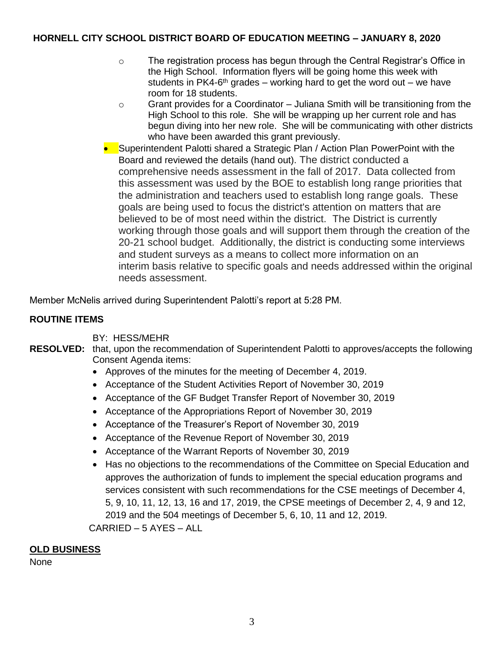- $\circ$  The registration process has begun through the Central Registrar's Office in the High School. Information flyers will be going home this week with students in PK4-6<sup>th</sup> grades – working hard to get the word out – we have room for 18 students.
- $\circ$  Grant provides for a Coordinator Juliana Smith will be transitioning from the High School to this role. She will be wrapping up her current role and has begun diving into her new role. She will be communicating with other districts who have been awarded this grant previously.
- Superintendent Palotti shared a Strategic Plan / Action Plan PowerPoint with the Board and reviewed the details (hand out). The district conducted a comprehensive needs assessment in the fall of 2017. Data collected from this assessment was used by the BOE to establish long range priorities that the administration and teachers used to establish long range goals. These goals are being used to focus the district's attention on matters that are believed to be of most need within the district. The District is currently working through those goals and will support them through the creation of the 20-21 school budget. Additionally, the district is conducting some interviews and student surveys as a means to collect more information on an interim basis relative to specific goals and needs addressed within the original needs assessment.

Member McNelis arrived during Superintendent Palotti's report at 5:28 PM.

# **ROUTINE ITEMS**

BY: HESS/MEHR

- **RESOLVED:** that, upon the recommendation of Superintendent Palotti to approves/accepts the following Consent Agenda items:
	- Approves of the minutes for the meeting of December 4, 2019.
	- Acceptance of the Student Activities Report of November 30, 2019
	- Acceptance of the GF Budget Transfer Report of November 30, 2019
	- Acceptance of the Appropriations Report of November 30, 2019
	- Acceptance of the Treasurer's Report of November 30, 2019
	- Acceptance of the Revenue Report of November 30, 2019
	- Acceptance of the Warrant Reports of November 30, 2019
	- Has no objections to the recommendations of the Committee on Special Education and approves the authorization of funds to implement the special education programs and services consistent with such recommendations for the CSE meetings of December 4, 5, 9, 10, 11, 12, 13, 16 and 17, 2019, the CPSE meetings of December 2, 4, 9 and 12, 2019 and the 504 meetings of December 5, 6, 10, 11 and 12, 2019.

CARRIED – 5 AYES – ALL

## **OLD BUSINESS**

None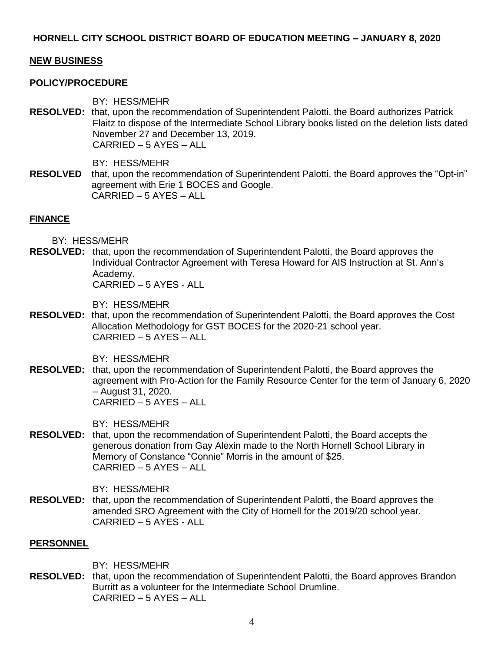### **NEW BUSINESS**

#### **POLICY/PROCEDURE**

BY: HESS/MEHR

**RESOLVED:** that, upon the recommendation of Superintendent Palotti, the Board authorizes Patrick Flaitz to dispose of the Intermediate School Library books listed on the deletion lists dated November 27 and December 13, 2019. CARRIED – 5 AYES – ALL

BY: HESS/MEHR

**RESOLVED** that, upon the recommendation of Superintendent Palotti, the Board approves the "Opt-in" agreement with Erie 1 BOCES and Google. CARRIED – 5 AYES – ALL

### **FINANCE**

BY: HESS/MEHR

**RESOLVED:** that, upon the recommendation of Superintendent Palotti, the Board approves the Individual Contractor Agreement with Teresa Howard for AIS Instruction at St. Ann's Academy. CARRIED – 5 AYES - ALL

BY: HESS/MEHR

**RESOLVED:** that, upon the recommendation of Superintendent Palotti, the Board approves the Cost Allocation Methodology for GST BOCES for the 2020-21 school year. CARRIED – 5 AYES – ALL

BY: HESS/MEHR

**RESOLVED:** that, upon the recommendation of Superintendent Palotti, the Board approves the agreement with Pro-Action for the Family Resource Center for the term of January 6, 2020 – August 31, 2020. CARRIED – 5 AYES – ALL

BY: HESS/MEHR

**RESOLVED:** that, upon the recommendation of Superintendent Palotti, the Board accepts the generous donation from Gay Alexin made to the North Hornell School Library in Memory of Constance "Connie" Morris in the amount of \$25. CARRIED – 5 AYES – ALL

BY: HESS/MEHR

**RESOLVED:** that, upon the recommendation of Superintendent Palotti, the Board approves the amended SRO Agreement with the City of Hornell for the 2019/20 school year. CARRIED – 5 AYES - ALL

### **PERSONNEL**

BY: HESS/MEHR

**RESOLVED:** that, upon the recommendation of Superintendent Palotti, the Board approves Brandon Burritt as a volunteer for the Intermediate School Drumline. CARRIED – 5 AYES – ALL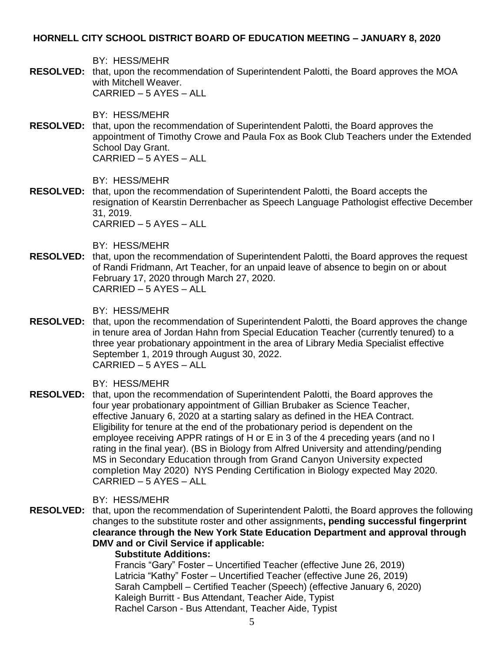BY: HESS/MEHR

**RESOLVED:** that, upon the recommendation of Superintendent Palotti, the Board approves the MOA with Mitchell Weaver. CARRIED – 5 AYES – ALL

BY: HESS/MEHR

**RESOLVED:** that, upon the recommendation of Superintendent Palotti, the Board approves the appointment of Timothy Crowe and Paula Fox as Book Club Teachers under the Extended School Day Grant. CARRIED – 5 AYES – ALL

BY: HESS/MEHR

**RESOLVED:** that, upon the recommendation of Superintendent Palotti, the Board accepts the resignation of Kearstin Derrenbacher as Speech Language Pathologist effective December 31, 2019. CARRIED – 5 AYES – ALL

BY: HESS/MEHR

**RESOLVED:** that, upon the recommendation of Superintendent Palotti, the Board approves the request of Randi Fridmann, Art Teacher, for an unpaid leave of absence to begin on or about February 17, 2020 through March 27, 2020. CARRIED – 5 AYES – ALL

BY: HESS/MEHR

**RESOLVED:** that, upon the recommendation of Superintendent Palotti, the Board approves the change in tenure area of Jordan Hahn from Special Education Teacher (currently tenured) to a three year probationary appointment in the area of Library Media Specialist effective September 1, 2019 through August 30, 2022. CARRIED – 5 AYES – ALL

BY: HESS/MEHR

- **RESOLVED:** that, upon the recommendation of Superintendent Palotti, the Board approves the four year probationary appointment of Gillian Brubaker as Science Teacher, effective January 6, 2020 at a starting salary as defined in the HEA Contract. Eligibility for tenure at the end of the probationary period is dependent on the employee receiving APPR ratings of H or E in 3 of the 4 preceding years (and no I rating in the final year). (BS in Biology from Alfred University and attending/pending MS in Secondary Education through from Grand Canyon University expected completion May 2020) NYS Pending Certification in Biology expected May 2020. CARRIED – 5 AYES – ALL
	- BY: HESS/MEHR
- **RESOLVED:** that, upon the recommendation of Superintendent Palotti, the Board approves the following changes to the substitute roster and other assignments**, pending successful fingerprint clearance through the New York State Education Department and approval through DMV and or Civil Service if applicable:**

### **Substitute Additions:**

Francis "Gary" Foster – Uncertified Teacher (effective June 26, 2019) Latricia "Kathy" Foster – Uncertified Teacher (effective June 26, 2019) Sarah Campbell – Certified Teacher (Speech) (effective January 6, 2020) Kaleigh Burritt - Bus Attendant, Teacher Aide, Typist Rachel Carson - Bus Attendant, Teacher Aide, Typist